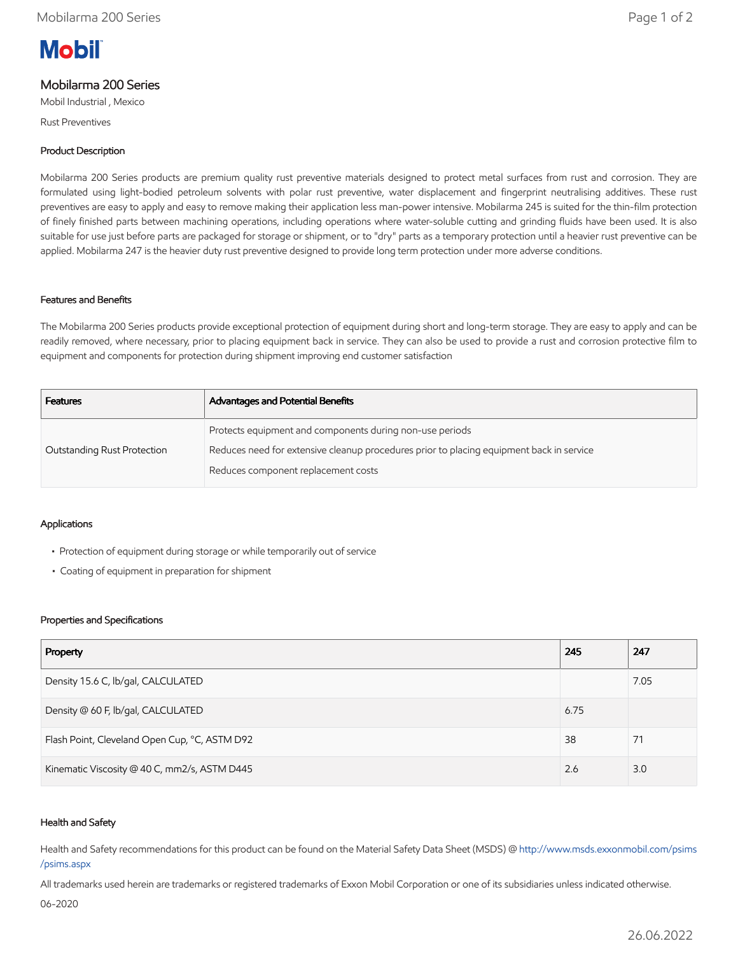# **Mobil**

## Mobilarma 200 Series

Mobil Industrial , Mexico

Rust Preventives

#### Product Description

Mobilarma 200 Series products are premium quality rust preventive materials designed to protect metal surfaces from rust and corrosion. They are formulated using light-bodied petroleum solvents with polar rust preventive, water displacement and fingerprint neutralising additives. These rust preventives are easy to apply and easy to remove making their application less man-power intensive. Mobilarma 245 is suited for the thin-film protection of finely finished parts between machining operations, including operations where water-soluble cutting and grinding fluids have been used. It is also suitable for use just before parts are packaged for storage or shipment, or to "dry" parts as a temporary protection until a heavier rust preventive can be applied. Mobilarma 247 is the heavier duty rust preventive designed to provide long term protection under more adverse conditions.

#### Features and Benefits

The Mobilarma 200 Series products provide exceptional protection of equipment during short and long-term storage. They are easy to apply and can be readily removed, where necessary, prior to placing equipment back in service. They can also be used to provide a rust and corrosion protective film to equipment and components for protection during shipment improving end customer satisfaction

| <b>Advantages and Potential Benefits</b>                                                 |
|------------------------------------------------------------------------------------------|
| Protects equipment and components during non-use periods                                 |
| Reduces need for extensive cleanup procedures prior to placing equipment back in service |
| Reduces component replacement costs                                                      |
|                                                                                          |

#### Applications

- Protection of equipment during storage or while temporarily out of service
- Coating of equipment in preparation for shipment

#### Properties and Specifications

| Property                                      | 245  | 247  |
|-----------------------------------------------|------|------|
| Density 15.6 C, lb/gal, CALCULATED            |      | 7.05 |
| Density @ 60 F, lb/gal, CALCULATED            | 6.75 |      |
| Flash Point, Cleveland Open Cup, °C, ASTM D92 | 38   | 71   |
| Kinematic Viscosity @ 40 C, mm2/s, ASTM D445  | 2.6  | 3.0  |

#### Health and Safety

Health and Safety recommendations for this product can be found on the Material Safety Data Sheet (MSDS) @ [http://www.msds.exxonmobil.com/psims](http://www.msds.exxonmobil.com/psims/psims.aspx) /psims.aspx

All trademarks used herein are trademarks or registered trademarks of Exxon Mobil Corporation or one of its subsidiaries unless indicated otherwise.

06-2020